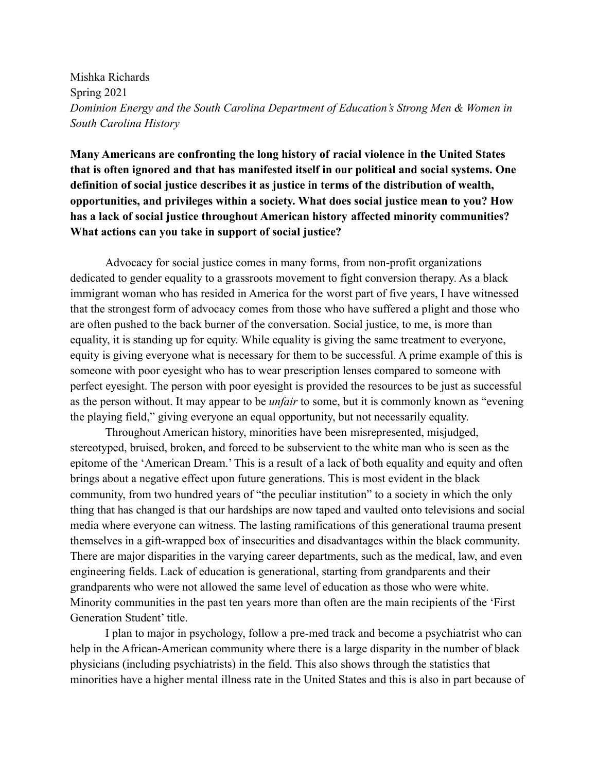Mishka Richards Spring 2021 *Dominion Energy and the South Carolina Department of Education's Strong Men & Women in South Carolina History*

**Many Americans are confronting the long history of racial violence in the United States that is often ignored and that has manifested itself in our political and social systems. One definition of social justice describes it as justice in terms of the distribution of wealth, opportunities, and privileges within a society. What does social justice mean to you? How has a lack of social justice throughout American history affected minority communities? What actions can you take in support of social justice?**

Advocacy for social justice comes in many forms, from non-profit organizations dedicated to gender equality to a grassroots movement to fight conversion therapy. As a black immigrant woman who has resided in America for the worst part of five years, I have witnessed that the strongest form of advocacy comes from those who have suffered a plight and those who are often pushed to the back burner of the conversation. Social justice, to me, is more than equality, it is standing up for equity. While equality is giving the same treatment to everyone, equity is giving everyone what is necessary for them to be successful. A prime example of this is someone with poor eyesight who has to wear prescription lenses compared to someone with perfect eyesight. The person with poor eyesight is provided the resources to be just as successful as the person without. It may appear to be *unfair* to some, but it is commonly known as "evening the playing field," giving everyone an equal opportunity, but not necessarily equality.

Throughout American history, minorities have been misrepresented, misjudged, stereotyped, bruised, broken, and forced to be subservient to the white man who is seen as the epitome of the 'American Dream.' This is a result of a lack of both equality and equity and often brings about a negative effect upon future generations. This is most evident in the black community, from two hundred years of "the peculiar institution" to a society in which the only thing that has changed is that our hardships are now taped and vaulted onto televisions and social media where everyone can witness. The lasting ramifications of this generational trauma present themselves in a gift-wrapped box of insecurities and disadvantages within the black community. There are major disparities in the varying career departments, such as the medical, law, and even engineering fields. Lack of education is generational, starting from grandparents and their grandparents who were not allowed the same level of education as those who were white. Minority communities in the past ten years more than often are the main recipients of the 'First Generation Student' title.

I plan to major in psychology, follow a pre-med track and become a psychiatrist who can help in the African-American community where there is a large disparity in the number of black physicians (including psychiatrists) in the field. This also shows through the statistics that minorities have a higher mental illness rate in the United States and this is also in part because of